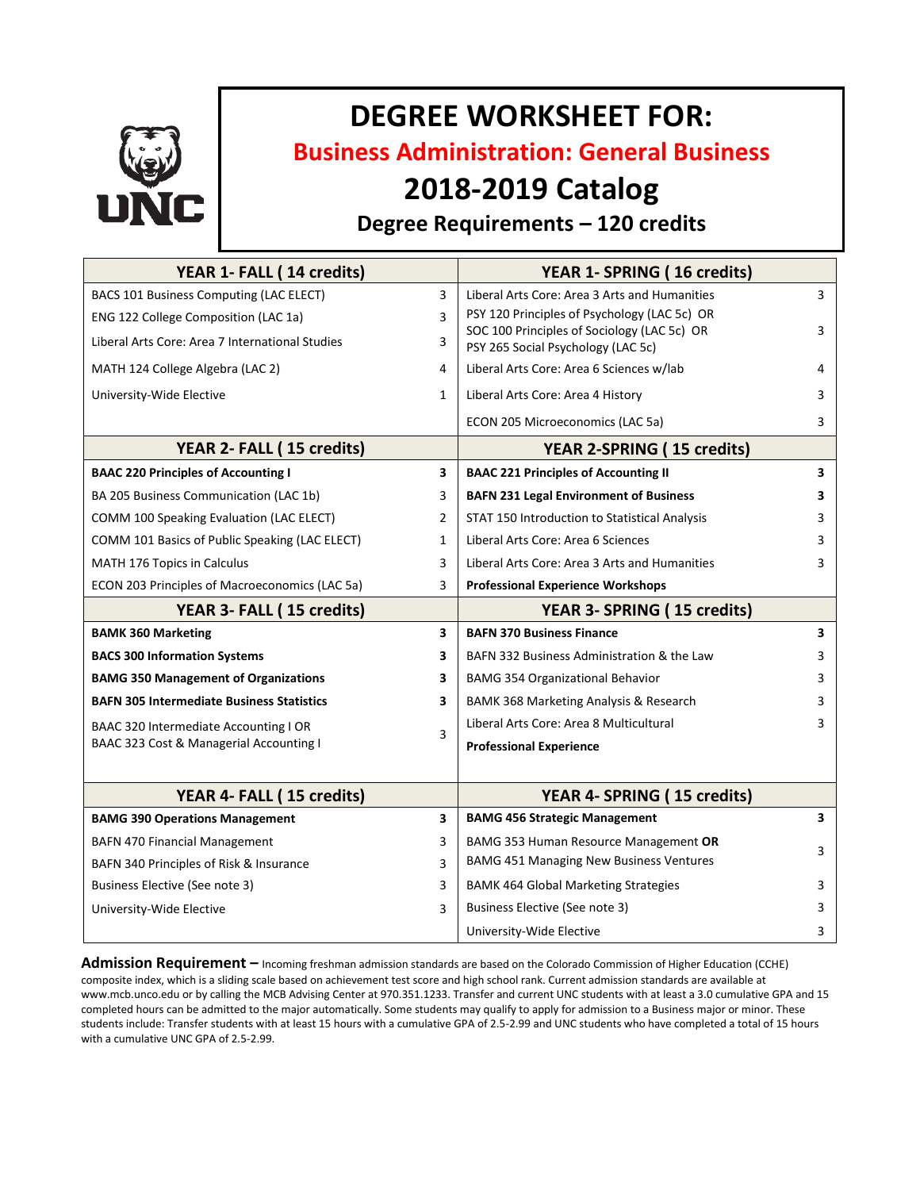

# **DEGREE WORKSHEET FOR:**

**Business Administration: General Business**

## **2018-2019 Catalog**

### **Degree Requirements – 120 credits**

| YEAR 1- FALL (14 credits)                        |                         | YEAR 1- SPRING (16 credits)                                                       |                         |
|--------------------------------------------------|-------------------------|-----------------------------------------------------------------------------------|-------------------------|
| BACS 101 Business Computing (LAC ELECT)          | 3                       | Liberal Arts Core: Area 3 Arts and Humanities                                     | 3                       |
| ENG 122 College Composition (LAC 1a)             | 3                       | PSY 120 Principles of Psychology (LAC 5c) OR                                      |                         |
| Liberal Arts Core: Area 7 International Studies  | 3                       | SOC 100 Principles of Sociology (LAC 5c) OR<br>PSY 265 Social Psychology (LAC 5c) | 3                       |
| MATH 124 College Algebra (LAC 2)                 | 4                       | Liberal Arts Core: Area 6 Sciences w/lab                                          | 4                       |
| University-Wide Elective                         | $\mathbf{1}$            | Liberal Arts Core: Area 4 History                                                 | 3                       |
|                                                  |                         | ECON 205 Microeconomics (LAC 5a)                                                  | 3                       |
| YEAR 2- FALL (15 credits)                        |                         | <b>YEAR 2-SPRING (15 credits)</b>                                                 |                         |
| <b>BAAC 220 Principles of Accounting I</b>       | 3                       | <b>BAAC 221 Principles of Accounting II</b>                                       | 3                       |
| BA 205 Business Communication (LAC 1b)           | 3                       | <b>BAFN 231 Legal Environment of Business</b>                                     | 3                       |
| COMM 100 Speaking Evaluation (LAC ELECT)         | $\overline{2}$          | STAT 150 Introduction to Statistical Analysis                                     | 3                       |
| COMM 101 Basics of Public Speaking (LAC ELECT)   | $\mathbf{1}$            | Liberal Arts Core: Area 6 Sciences                                                | 3                       |
| MATH 176 Topics in Calculus                      | 3                       | Liberal Arts Core: Area 3 Arts and Humanities                                     | 3                       |
| ECON 203 Principles of Macroeconomics (LAC 5a)   | 3                       | <b>Professional Experience Workshops</b>                                          |                         |
| YEAR 3- FALL (15 credits)                        |                         | YEAR 3- SPRING (15 credits)                                                       |                         |
| <b>BAMK 360 Marketing</b>                        | $\overline{\mathbf{3}}$ | <b>BAFN 370 Business Finance</b>                                                  | 3                       |
| <b>BACS 300 Information Systems</b>              | 3                       | BAFN 332 Business Administration & the Law                                        | 3                       |
| <b>BAMG 350 Management of Organizations</b>      | 3                       | <b>BAMG 354 Organizational Behavior</b>                                           | 3                       |
| <b>BAFN 305 Intermediate Business Statistics</b> | 3                       | BAMK 368 Marketing Analysis & Research                                            | 3                       |
| BAAC 320 Intermediate Accounting I OR            | 3                       | Liberal Arts Core: Area 8 Multicultural                                           | 3                       |
| BAAC 323 Cost & Managerial Accounting I          |                         | <b>Professional Experience</b>                                                    |                         |
|                                                  |                         |                                                                                   |                         |
| YEAR 4- FALL (15 credits)                        |                         | YEAR 4- SPRING (15 credits)                                                       |                         |
| <b>BAMG 390 Operations Management</b>            | 3                       | <b>BAMG 456 Strategic Management</b>                                              | $\overline{\mathbf{3}}$ |
| <b>BAFN 470 Financial Management</b>             | 3                       | BAMG 353 Human Resource Management OR                                             | 3                       |
| BAFN 340 Principles of Risk & Insurance          | 3                       | <b>BAMG 451 Managing New Business Ventures</b>                                    |                         |
| Business Elective (See note 3)                   | 3                       | <b>BAMK 464 Global Marketing Strategies</b>                                       | 3                       |
| University-Wide Elective                         | 3                       | Business Elective (See note 3)                                                    | 3                       |
|                                                  |                         | University-Wide Elective                                                          | 3                       |

**Admission Requirement –** Incoming freshman admission standards are based on the Colorado Commission of Higher Education (CCHE) composite index, which is a sliding scale based on achievement test score and high school rank. Current admission standards are available at www.mcb.unco.edu or by calling the MCB Advising Center at 970.351.1233. Transfer and current UNC students with at least a 3.0 cumulative GPA and 15 completed hours can be admitted to the major automatically. Some students may qualify to apply for admission to a Business major or minor. These students include: Transfer students with at least 15 hours with a cumulative GPA of 2.5-2.99 and UNC students who have completed a total of 15 hours with a cumulative UNC GPA of 2.5-2.99.